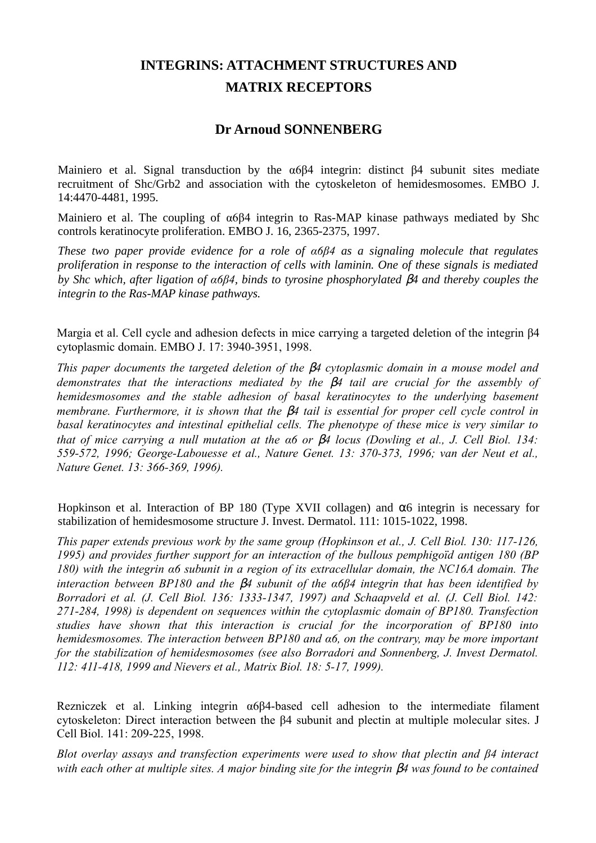## **INTEGRINS: ATTACHMENT STRUCTURES AND MATRIX RECEPTORS**

## **Dr Arnoud SONNENBERG**

Mainiero et al. Signal transduction by the α6β4 integrin: distinct β4 subunit sites mediate recruitment of Shc/Grb2 and association with the cytoskeleton of hemidesmosomes. EMBO J. 14:4470-4481, 1995.

Mainiero et al. The coupling of α6β4 integrin to Ras-MAP kinase pathways mediated by Shc controls keratinocyte proliferation. EMBO J. 16, 2365-2375, 1997.

*These two paper provide evidence for a role of α6β4 as a signaling molecule that regulates proliferation in response to the interaction of cells with laminin. One of these signals is mediated by Shc which, after ligation of α6β4, binds to tyrosine phosphorylated* β*4 and thereby couples the integrin to the Ras-MAP kinase pathways.*

Margia et al. Cell cycle and adhesion defects in mice carrying a targeted deletion of the integrin β4 cytoplasmic domain. EMBO J. 17: 3940-3951, 1998.

*This paper documents the targeted deletion of the* β*4 cytoplasmic domain in a mouse model and demonstrates that the interactions mediated by the* β*4 tail are crucial for the assembly of hemidesmosomes and the stable adhesion of basal keratinocytes to the underlying basement membrane. Furthermore, it is shown that the* β*4 tail is essential for proper cell cycle control in basal keratinocytes and intestinal epithelial cells. The phenotype of these mice is very similar to that of mice carrying a null mutation at the α6 or* β*4 locus (Dowling et al., J. Cell Biol. 134: 559-572, 1996; George-Labouesse et al., Nature Genet. 13: 370-373, 1996; van der Neut et al., Nature Genet. 13: 366-369, 1996).*

Hopkinson et al. Interaction of BP 180 (Type XVII collagen) and  $\alpha$ 6 integrin is necessary for stabilization of hemidesmosome structure J. Invest. Dermatol. 111: 1015-1022, 1998.

*This paper extends previous work by the same group (Hopkinson et al., J. Cell Biol. 130: 117-126, 1995) and provides further support for an interaction of the bullous pemphigoïd antigen 180 (BP 180) with the integrin α6 subunit in a region of its extracellular domain, the NC16A domain. The interaction between BP180 and the* β*4 subunit of the α6β4 integrin that has been identified by Borradori et al. (J. Cell Biol. 136: 1333-1347, 1997) and Schaapveld et al. (J. Cell Biol. 142: 271-284, 1998) is dependent on sequences within the cytoplasmic domain of BP180. Transfection studies have shown that this interaction is crucial for the incorporation of BP180 into hemidesmosomes. The interaction between BP180 and α6, on the contrary, may be more important for the stabilization of hemidesmosomes (see also Borradori and Sonnenberg, J. Invest Dermatol. 112: 411-418, 1999 and Nievers et al., Matrix Biol. 18: 5-17, 1999).*

Rezniczek et al. Linking integrin α6β4-based cell adhesion to the intermediate filament cytoskeleton: Direct interaction between the β4 subunit and plectin at multiple molecular sites. J Cell Biol. 141: 209-225, 1998.

*Blot overlay assays and transfection experiments were used to show that plectin and β4 interact with each other at multiple sites. A major binding site for the integrin β4 was found to be contained*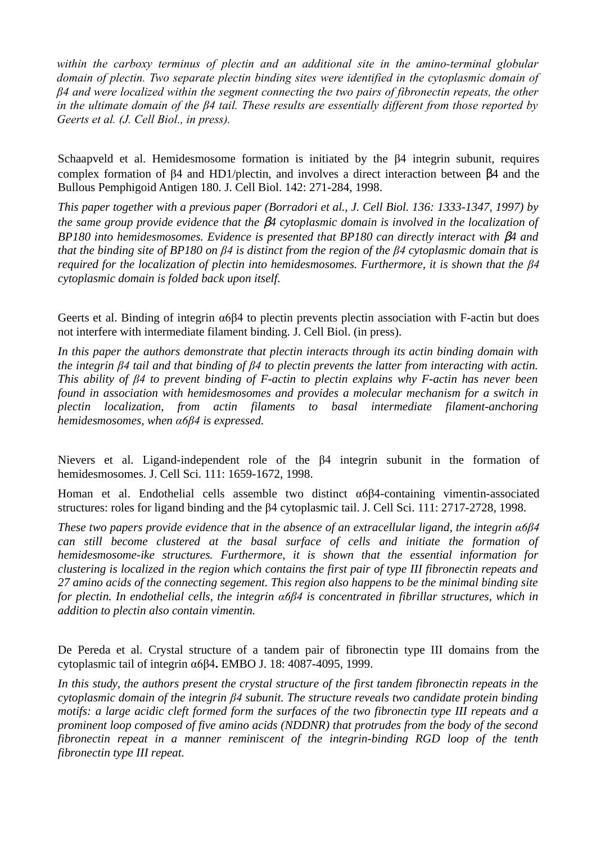*within the carboxy terminus of plectin and an additional site in the amino-terminal globular domain of plectin. Two separate plectin binding sites were identified in the cytoplasmic domain of β4 and were localized within the segment connecting the two pairs of fibronectin repeats, the other in the ultimate domain of the β4 tail. These results are essentially different from those reported by Geerts et al. (J. Cell Biol., in press).*

Schaapveld et al. Hemidesmosome formation is initiated by the β4 integrin subunit, requires complex formation of β4 and HD1/plectin, and involves a direct interaction between β4 and the Bullous Pemphigoid Antigen 180. J. Cell Biol. 142: 271-284, 1998.

*This paper together with a previous paper (Borradori et al., J. Cell Biol. 136: 1333-1347, 1997) by the same group provide evidence that the* β*4 cytoplasmic domain is involved in the localization of BP180 into hemidesmosomes. Evidence is presented that BP180 can directly interact with* β*4 and that the binding site of BP180 on β4 is distinct from the region of the β4 cytoplasmic domain that is required for the localization of plectin into hemidesmosomes. Furthermore, it is shown that the β4 cytoplasmic domain is folded back upon itself.*

Geerts et al. Binding of integrin α6β4 to plectin prevents plectin association with F-actin but does not interfere with intermediate filament binding. J. Cell Biol. (in press).

*In this paper the authors demonstrate that plectin interacts through its actin binding domain with the integrin β4 tail and that binding of β4 to plectin prevents the latter from interacting with actin. This ability of β4 to prevent binding of F-actin to plectin explains why F-actin has never been found in association with hemidesmosomes and provides a molecular mechanism for a switch in plectin localization, from actin filaments to basal intermediate filament-anchoring hemidesmosomes, when α6β4 is expressed.*

Nievers et al. Ligand-independent role of the β4 integrin subunit in the formation of hemidesmosomes. J. Cell Sci. 111: 1659-1672, 1998.

Homan et al. Endothelial cells assemble two distinct α6β4-containing vimentin-associated structures: roles for ligand binding and the β4 cytoplasmic tail. J. Cell Sci. 111: 2717-2728, 1998.

*These two papers provide evidence that in the absence of an extracellular ligand, the integrin α6β4 can still become clustered at the basal surface of cells and initiate the formation of hemidesmosome-ike structures. Furthermore, it is shown that the essential information for clustering is localized in the region which contains the first pair of type III fibronectin repeats and 27 amino acids of the connecting segement. This region also happens to be the minimal binding site for plectin. In endothelial cells, the integrin α6β4 is concentrated in fibrillar structures, which in addition to plectin also contain vimentin.*

De Pereda et al. Crystal structure of a tandem pair of fibronectin type III domains from the cytoplasmic tail of integrin α6β4**.** EMBO J. 18: 4087-4095, 1999.

*In this study, the authors present the crystal structure of the first tandem fibronectin repeats in the cytoplasmic domain of the integrin β4 subunit. The structure reveals two candidate protein binding motifs: a large acidic cleft formed form the surfaces of the two fibronectin type III repeats and a prominent loop composed of five amino acids (NDDNR) that protrudes from the body of the second fibronectin repeat in a manner reminiscent of the integrin-binding RGD loop of the tenth fibronectin type III repeat.*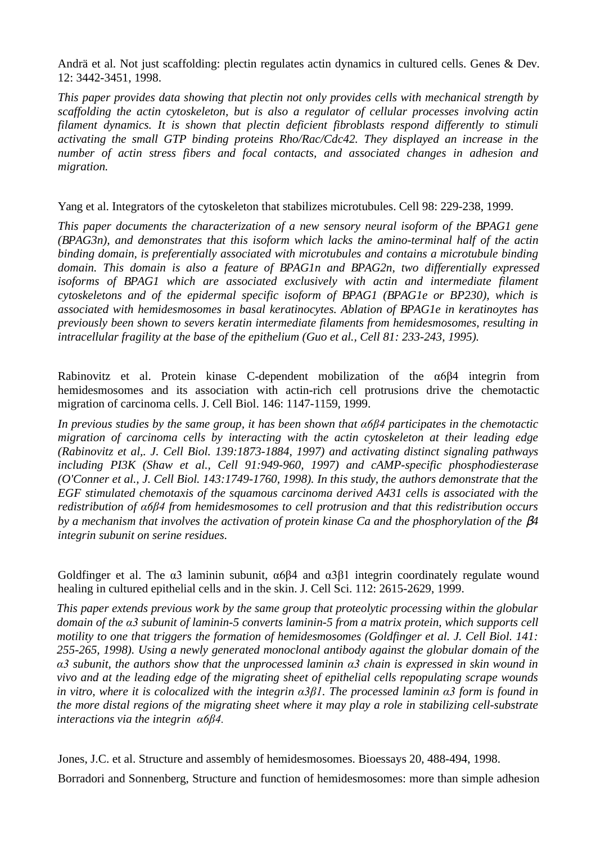Andrä et al. Not just scaffolding: plectin regulates actin dynamics in cultured cells. Genes & Dev. 12: 3442-3451, 1998.

*This paper provides data showing that plectin not only provides cells with mechanical strength by scaffolding the actin cytoskeleton, but is also a regulator of cellular processes involving actin filament dynamics. It is shown that plectin deficient fibroblasts respond differently to stimuli activating the small GTP binding proteins Rho/Rac/Cdc42. They displayed an increase in the number of actin stress fibers and focal contacts, and associated changes in adhesion and migration.*

Yang et al. Integrators of the cytoskeleton that stabilizes microtubules. Cell 98: 229-238, 1999.

*This paper documents the characterization of a new sensory neural isoform of the BPAG1 gene (BPAG3n), and demonstrates that this isoform which lacks the amino-terminal half of the actin binding domain, is preferentially associated with microtubules and contains a microtubule binding domain. This domain is also a feature of BPAG1n and BPAG2n, two differentially expressed isoforms of BPAG1 which are associated exclusively with actin and intermediate filament cytoskeletons and of the epidermal specific isoform of BPAG1 (BPAG1e or BP230), which is associated with hemidesmosomes in basal keratinocytes. Ablation of BPAG1e in keratinoytes has previously been shown to severs keratin intermediate filaments from hemidesmosomes, resulting in intracellular fragility at the base of the epithelium (Guo et al., Cell 81: 233-243, 1995).*

Rabinovitz et al. Protein kinase C-dependent mobilization of the α6β4 integrin from hemidesmosomes and its association with actin-rich cell protrusions drive the chemotactic migration of carcinoma cells. J. Cell Biol. 146: 1147-1159, 1999.

*In previous studies by the same group, it has been shown that α6β4 participates in the chemotactic migration of carcinoma cells by interacting with the actin cytoskeleton at their leading edge (Rabinovitz et al,. J. Cell Biol. 139:1873-1884, 1997) and activating distinct signaling pathways including PI3K (Shaw et al., Cell 91:949-960, 1997) and cAMP-specific phosphodiesterase (O'Conner et al., J. Cell Biol. 143:1749-1760, 1998). In this study, the authors demonstrate that the EGF stimulated chemotaxis of the squamous carcinoma derived A431 cells is associated with the redistribution of α6β4 from hemidesmosomes to cell protrusion and that this redistribution occurs by a mechanism that involves the activation of protein kinase Ca and the phosphorylation of the* β*4 integrin subunit on serine residues.*

Goldfinger et al. The  $\alpha$ 3 laminin subunit,  $\alpha$ 6 $\beta$ 4 and  $\alpha$ 3 $\beta$ 1 integrin coordinately regulate wound healing in cultured epithelial cells and in the skin. J. Cell Sci. 112: 2615-2629, 1999.

*This paper extends previous work by the same group that proteolytic processing within the globular domain of the α3 subunit of laminin-5 converts laminin-5 from a matrix protein, which supports cell motility to one that triggers the formation of hemidesmosomes (Goldfinger et al. J. Cell Biol. 141: 255-265, 1998). Using a newly generated monoclonal antibody against the globular domain of the α3 subunit, the authors show that the unprocessed laminin α3 chain is expressed in skin wound in vivo and at the leading edge of the migrating sheet of epithelial cells repopulating scrape wounds in vitro, where it is colocalized with the integrin α3β1. The processed laminin α3 form is found in the more distal regions of the migrating sheet where it may play a role in stabilizing cell-substrate interactions via the integrin α6β4.*

Jones, J.C. et al. Structure and assembly of hemidesmosomes. Bioessays 20, 488-494, 1998.

Borradori and Sonnenberg, Structure and function of hemidesmosomes: more than simple adhesion